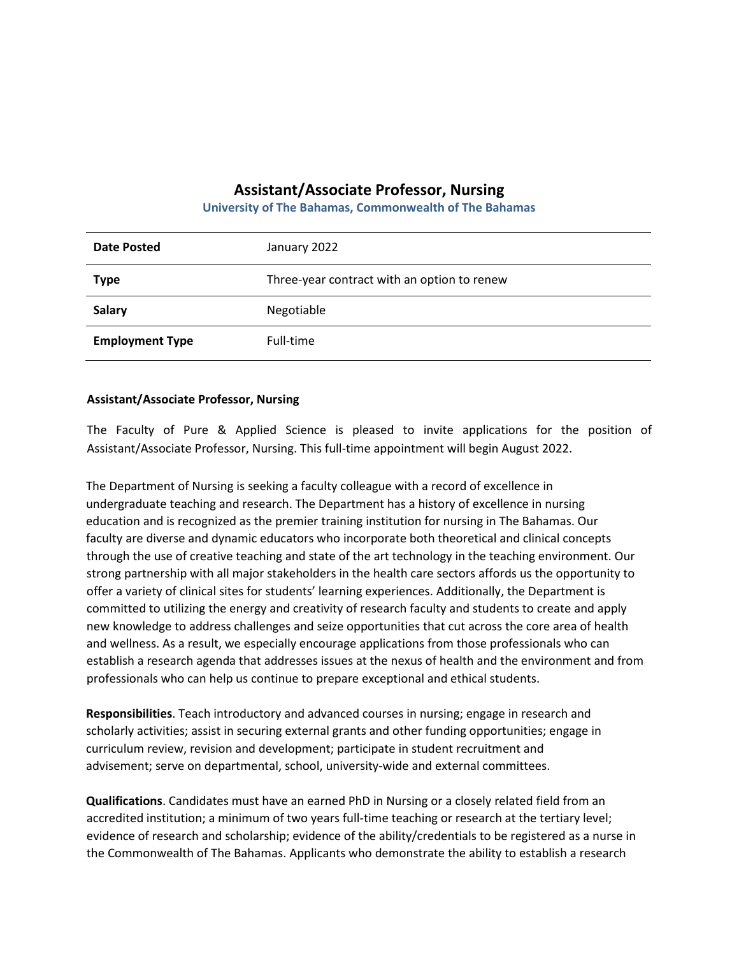## **Assistant/Associate Professor, Nursing**

**University of The Bahamas, Commonwealth of The Bahamas**

| <b>Date Posted</b>     | January 2022                                |
|------------------------|---------------------------------------------|
| <b>Type</b>            | Three-year contract with an option to renew |
| <b>Salary</b>          | Negotiable                                  |
| <b>Employment Type</b> | Full-time                                   |

## **Assistant/Associate Professor, Nursing**

The Faculty of Pure & Applied Science is pleased to invite applications for the position of Assistant/Associate Professor, Nursing. This full-time appointment will begin August 2022.

The Department of Nursing is seeking a faculty colleague with a record of excellence in undergraduate teaching and research. The Department has a history of excellence in nursing education and is recognized as the premier training institution for nursing in The Bahamas. Our faculty are diverse and dynamic educators who incorporate both theoretical and clinical concepts through the use of creative teaching and state of the art technology in the teaching environment. Our strong partnership with all major stakeholders in the health care sectors affords us the opportunity to offer a variety of clinical sites for students' learning experiences. Additionally, the Department is committed to utilizing the energy and creativity of research faculty and students to create and apply new knowledge to address challenges and seize opportunities that cut across the core area of health and wellness. As a result, we especially encourage applications from those professionals who can establish a research agenda that addresses issues at the nexus of health and the environment and from professionals who can help us continue to prepare exceptional and ethical students.

**Responsibilities**. Teach introductory and advanced courses in nursing; engage in research and scholarly activities; assist in securing external grants and other funding opportunities; engage in curriculum review, revision and development; participate in student recruitment and advisement; serve on departmental, school, university-wide and external committees.

**Qualifications**. Candidates must have an earned PhD in Nursing or a closely related field from an accredited institution; a minimum of two years full-time teaching or research at the tertiary level; evidence of research and scholarship; evidence of the ability/credentials to be registered as a nurse in the Commonwealth of The Bahamas. Applicants who demonstrate the ability to establish a research